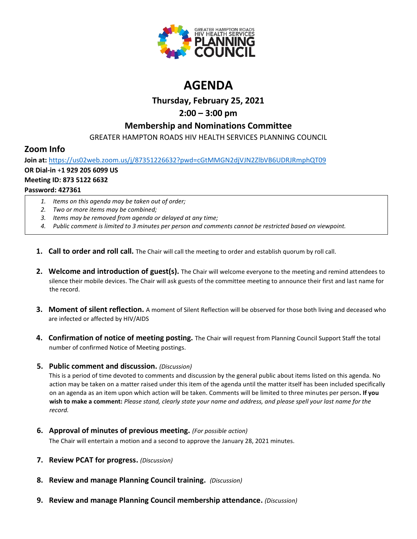

# **AGENDA**

### **Thursday, February 25, 2021**

## **2:00 – 3:00 pm**

#### **Membership and Nominations Committee**

GREATER HAMPTON ROADS HIV HEALTH SERVICES PLANNING COUNCIL

## **Zoom Info**

**Join at:** <https://us02web.zoom.us/j/87351226632?pwd=cGtMMGN2djVJN2ZlbVB6UDRJRmphQT09> **OR Dial-in** +**1 929 205 6099 US Meeting ID: 873 5122 6632 Password: 427361**

- *1. Items on this agenda may be taken out of order;*
- *2. Two or more items may be combined;*
- *3. Items may be removed from agenda or delayed at any time;*
- *4. Public comment is limited to 3 minutes per person and comments cannot be restricted based on viewpoint.*
- **1. Call to order and roll call.** The Chair will call the meeting to order and establish quorum by roll call.
- **2. Welcome and introduction of guest(s).** The Chair will welcome everyone to the meeting and remind attendees to silence their mobile devices. The Chair will ask guests of the committee meeting to announce their first and last name for the record.
- **3. Moment of silent reflection.** A moment of Silent Reflection will be observed for those both living and deceased who are infected or affected by HIV/AIDS
- **4. Confirmation of notice of meeting posting.** The Chair will request from Planning Council Support Staff the total number of confirmed Notice of Meeting postings.
- **5. Public comment and discussion.** *(Discussion)*

This is a period of time devoted to comments and discussion by the general public about items listed on this agenda. No action may be taken on a matter raised under this item of the agenda until the matter itself has been included specifically on an agenda as an item upon which action will be taken. Comments will be limited to three minutes per person**. If you wish to make a comment:** *Please stand, clearly state your name and address, and please spell your last name for the record.*

**6. Approval of minutes of previous meeting.** *(For possible action)*

The Chair will entertain a motion and a second to approve the January 28, 2021 minutes.

- **7. Review PCAT for progress.** *(Discussion)*
- **8. Review and manage Planning Council training.** *(Discussion)*
- **9. Review and manage Planning Council membership attendance.** *(Discussion)*